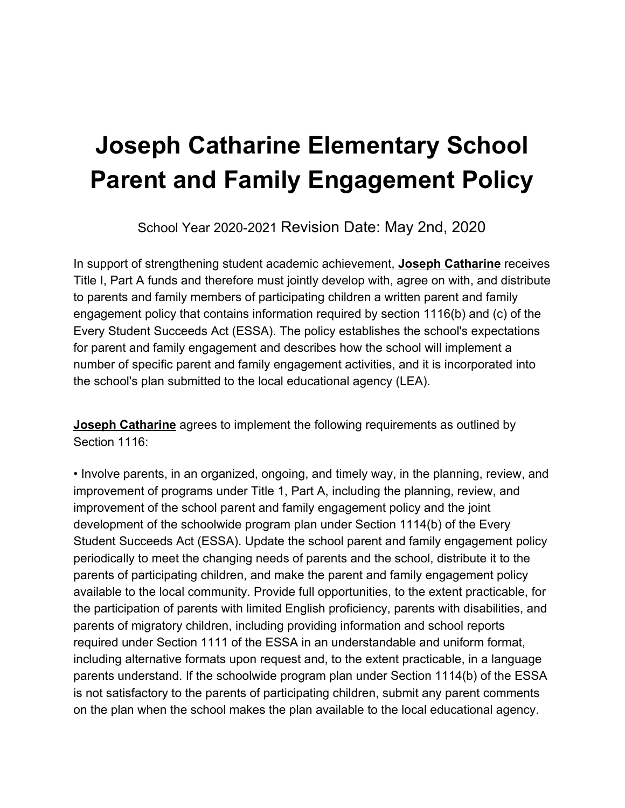# **Joseph Catharine Elementary School Parent and Family Engagement Policy**

School Year 2020-2021 Revision Date: May 2nd, 2020

In support of strengthening student academic achievement, **Joseph Catharine** receives Title I, Part A funds and therefore must jointly develop with, agree on with, and distribute to parents and family members of participating children a written parent and family engagement policy that contains information required by section 1116(b) and (c) of the Every Student Succeeds Act (ESSA). The policy establishes the school's expectations for parent and family engagement and describes how the school will implement a number of specific parent and family engagement activities, and it is incorporated into the school's plan submitted to the local educational agency (LEA).

**Joseph Catharine** agrees to implement the following requirements as outlined by Section 1116:

• Involve parents, in an organized, ongoing, and timely way, in the planning, review, and improvement of programs under Title 1, Part A, including the planning, review, and improvement of the school parent and family engagement policy and the joint development of the schoolwide program plan under Section 1114(b) of the Every Student Succeeds Act (ESSA). Update the school parent and family engagement policy periodically to meet the changing needs of parents and the school, distribute it to the parents of participating children, and make the parent and family engagement policy available to the local community. Provide full opportunities, to the extent practicable, for the participation of parents with limited English proficiency, parents with disabilities, and parents of migratory children, including providing information and school reports required under Section 1111 of the ESSA in an understandable and uniform format, including alternative formats upon request and, to the extent practicable, in a language parents understand. If the schoolwide program plan under Section 1114(b) of the ESSA is not satisfactory to the parents of participating children, submit any parent comments on the plan when the school makes the plan available to the local educational agency.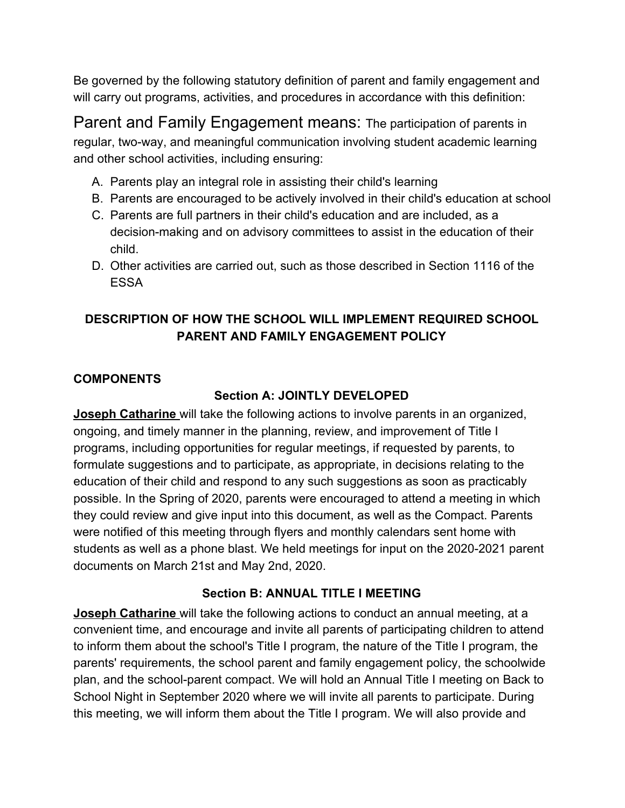Be governed by the following statutory definition of parent and family engagement and will carry out programs, activities, and procedures in accordance with this definition:

Parent and Family Engagement means: The participation of parents in regular, two-way, and meaningful communication involving student academic learning and other school activities, including ensuring:

- A. Parents play an integral role in assisting their child's learning
- B. Parents are encouraged to be actively involved in their child's education at school
- C. Parents are full partners in their child's education and are included, as a decision-making and on advisory committees to assist in the education of their child.
- D. Other activities are carried out, such as those described in Section 1116 of the ESSA

## **DESCRIPTION OF HOW THE SCH***O***OL WILL IMPLEMENT REQUIRED SCHOOL PARENT AND FAMILY ENGAGEMENT POLICY**

## **COMPONENTS**

### **Section A: JOINTLY DEVELOPED**

**Joseph Catharine** will take the following actions to involve parents in an organized, ongoing, and timely manner in the planning, review, and improvement of Title I programs, including opportunities for regular meetings, if requested by parents, to formulate suggestions and to participate, as appropriate, in decisions relating to the education of their child and respond to any such suggestions as soon as practicably possible. In the Spring of 2020, parents were encouraged to attend a meeting in which they could review and give input into this document, as well as the Compact. Parents were notified of this meeting through flyers and monthly calendars sent home with students as well as a phone blast. We held meetings for input on the 2020-2021 parent documents on March 21st and May 2nd, 2020.

### **Section B: ANNUAL TITLE I MEETING**

**Joseph Catharine** will take the following actions to conduct an annual meeting, at a convenient time, and encourage and invite all parents of participating children to attend to inform them about the school's Title I program, the nature of the Title I program, the parents' requirements, the school parent and family engagement policy, the schoolwide plan, and the school-parent compact. We will hold an Annual Title I meeting on Back to School Night in September 2020 where we will invite all parents to participate. During this meeting, we will inform them about the Title I program. We will also provide and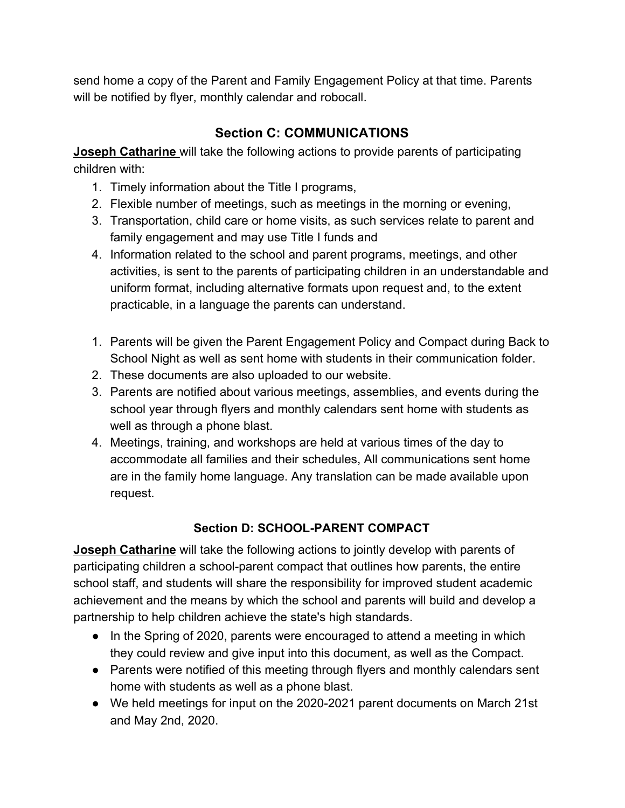send home a copy of the Parent and Family Engagement Policy at that time. Parents will be notified by flyer, monthly calendar and robocall.

# **Section C: COMMUNICATIONS**

**Joseph Catharine** will take the following actions to provide parents of participating children with:

- 1. Timely information about the Title I programs,
- 2. Flexible number of meetings, such as meetings in the morning or evening,
- 3. Transportation, child care or home visits, as such services relate to parent and family engagement and may use Title I funds and
- 4. Information related to the school and parent programs, meetings, and other activities, is sent to the parents of participating children in an understandable and uniform format, including alternative formats upon request and, to the extent practicable, in a language the parents can understand.
- 1. Parents will be given the Parent Engagement Policy and Compact during Back to School Night as well as sent home with students in their communication folder.
- 2. These documents are also uploaded to our website.
- 3. Parents are notified about various meetings, assemblies, and events during the school year through flyers and monthly calendars sent home with students as well as through a phone blast.
- 4. Meetings, training, and workshops are held at various times of the day to accommodate all families and their schedules, All communications sent home are in the family home language. Any translation can be made available upon request.

# **Section D: SCHOOL-PARENT COMPACT**

**Joseph Catharine** will take the following actions to jointly develop with parents of participating children a school-parent compact that outlines how parents, the entire school staff, and students will share the responsibility for improved student academic achievement and the means by which the school and parents will build and develop a partnership to help children achieve the state's high standards.

- In the Spring of 2020, parents were encouraged to attend a meeting in which they could review and give input into this document, as well as the Compact.
- Parents were notified of this meeting through flyers and monthly calendars sent home with students as well as a phone blast.
- We held meetings for input on the 2020-2021 parent documents on March 21st and May 2nd, 2020.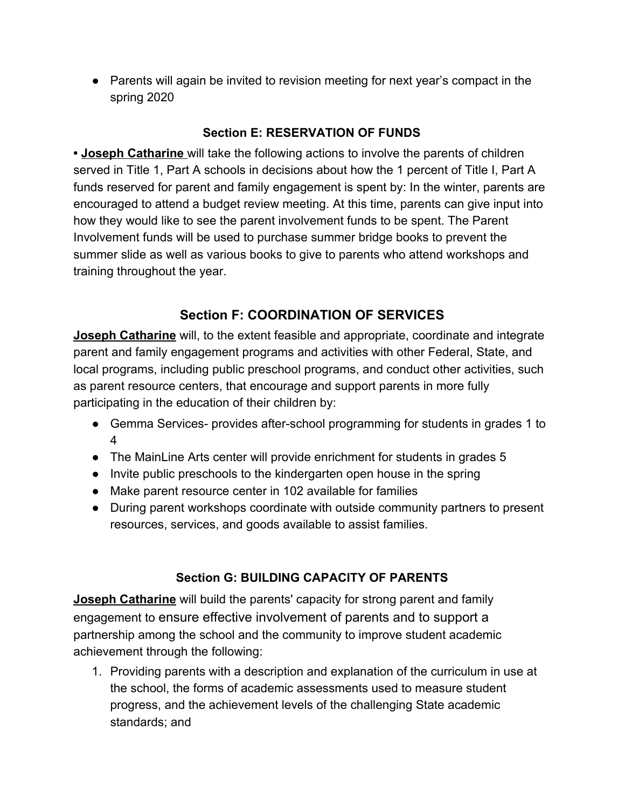● Parents will again be invited to revision meeting for next year's compact in the spring 2020

### **Section E: RESERVATION OF FUNDS**

**• Joseph Catharine** will take the following actions to involve the parents of children served in Title 1, Part A schools in decisions about how the 1 percent of Title I, Part A funds reserved for parent and family engagement is spent by: In the winter, parents are encouraged to attend a budget review meeting. At this time, parents can give input into how they would like to see the parent involvement funds to be spent. The Parent Involvement funds will be used to purchase summer bridge books to prevent the summer slide as well as various books to give to parents who attend workshops and training throughout the year.

# **Section F: COORDINATION OF SERVICES**

**Joseph Catharine** will, to the extent feasible and appropriate, coordinate and integrate parent and family engagement programs and activities with other Federal, State, and local programs, including public preschool programs, and conduct other activities, such as parent resource centers, that encourage and support parents in more fully participating in the education of their children by:

- Gemma Services- provides after-school programming for students in grades 1 to 4
- The MainLine Arts center will provide enrichment for students in grades 5
- Invite public preschools to the kindergarten open house in the spring
- Make parent resource center in 102 available for families
- During parent workshops coordinate with outside community partners to present resources, services, and goods available to assist families.

### **Section G: BUILDING CAPACITY OF PARENTS**

**Joseph Catharine** will build the parents' capacity for strong parent and family engagement to ensure effective involvement of parents and to support a partnership among the school and the community to improve student academic achievement through the following:

1. Providing parents with a description and explanation of the curriculum in use at the school, the forms of academic assessments used to measure student progress, and the achievement levels of the challenging State academic standards; and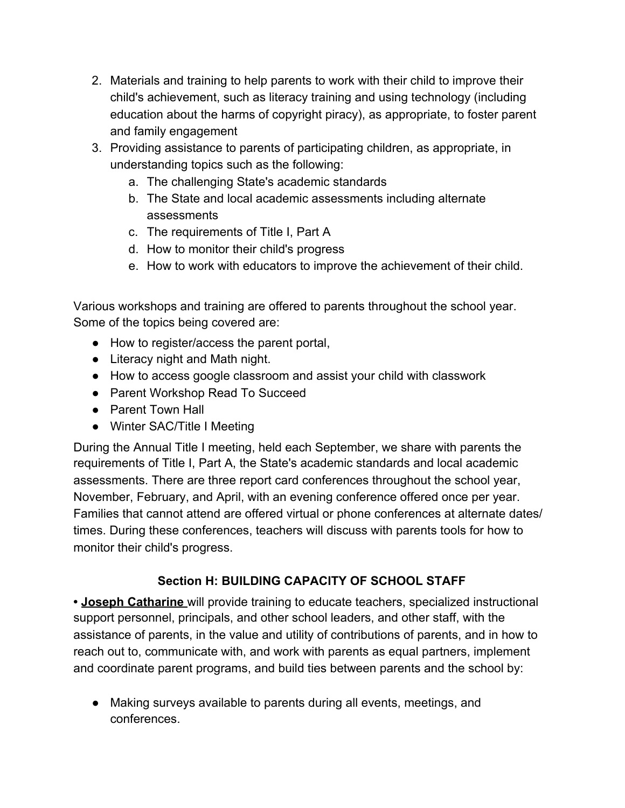- 2. Materials and training to help parents to work with their child to improve their child's achievement, such as literacy training and using technology (including education about the harms of copyright piracy), as appropriate, to foster parent and family engagement
- 3. Providing assistance to parents of participating children, as appropriate, in understanding topics such as the following:
	- a. The challenging State's academic standards
	- b. The State and local academic assessments including alternate assessments
	- c. The requirements of Title I, Part A
	- d. How to monitor their child's progress
	- e. How to work with educators to improve the achievement of their child.

Various workshops and training are offered to parents throughout the school year. Some of the topics being covered are:

- How to register/access the parent portal,
- Literacy night and Math night.
- How to access google classroom and assist your child with classwork
- Parent Workshop Read To Succeed
- Parent Town Hall
- Winter SAC/Title I Meeting

During the Annual Title I meeting, held each September, we share with parents the requirements of Title I, Part A, the State's academic standards and local academic assessments. There are three report card conferences throughout the school year, November, February, and April, with an evening conference offered once per year. Families that cannot attend are offered virtual or phone conferences at alternate dates/ times. During these conferences, teachers will discuss with parents tools for how to monitor their child's progress.

### **Section H: BUILDING CAPACITY OF SCHOOL STAFF**

**• Joseph Catharine** will provide training to educate teachers, specialized instructional support personnel, principals, and other school leaders, and other staff, with the assistance of parents, in the value and utility of contributions of parents, and in how to reach out to, communicate with, and work with parents as equal partners, implement and coordinate parent programs, and build ties between parents and the school by:

● Making surveys available to parents during all events, meetings, and conferences.